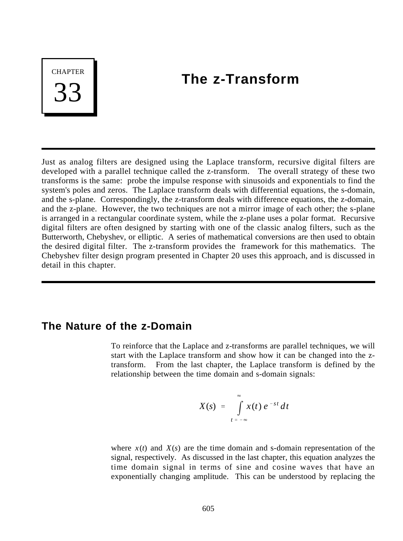# **CHAPTER** 33

## **The z-Transform**

Just as analog filters are designed using the Laplace transform, recursive digital filters are developed with a parallel technique called the z-transform. The overall strategy of these two transforms is the same: probe the impulse response with sinusoids and exponentials to find the system's poles and zeros. The Laplace transform deals with differential equations, the s-domain, and the s-plane. Correspondingly, the z-transform deals with difference equations, the z-domain, and the z-plane. However, the two techniques are not a mirror image of each other; the s-plane is arranged in a rectangular coordinate system, while the z-plane uses a polar format. Recursive digital filters are often designed by starting with one of the classic analog filters, such as the Butterworth, Chebyshev, or elliptic. A series of mathematical conversions are then used to obtain the desired digital filter. The z-transform provides the framework for this mathematics. The Chebyshev filter design program presented in Chapter 20 uses this approach, and is discussed in detail in this chapter.

### **The Nature of the z-Domain**

To reinforce that the Laplace and z-transforms are parallel techniques, we will start with the Laplace transform and show how it can be changed into the ztransform. From the last chapter, the Laplace transform is defined by the relationship between the time domain and s-domain signals:

$$
X(s) = \int_{t=-\infty}^{\infty} x(t) e^{-st} dt
$$

where  $x(t)$  and  $X(s)$  are the time domain and s-domain representation of the signal, respectively. As discussed in the last chapter, this equation analyzes the time domain signal in terms of sine and cosine waves that have an exponentially changing amplitude. This can be understood by replacing the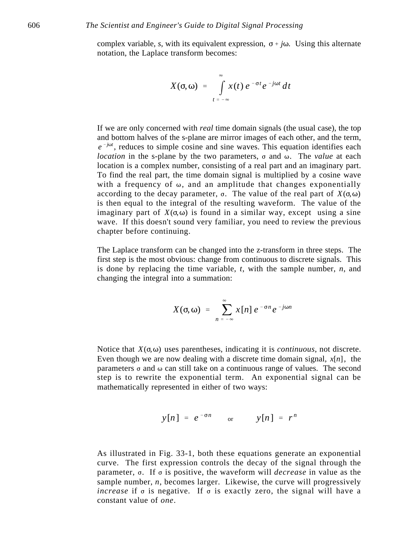complex variable, *s*, with its equivalent expression,  $\sigma + j\omega$ . Using this alternate notation, the Laplace transform becomes:

$$
X(\sigma,\omega) = \int_{t=-\infty}^{\infty} x(t) e^{-\sigma t} e^{-j\omega t} dt
$$

If we are only concerned with *real* time domain signals (the usual case), the top and bottom halves of the s-plane are mirror images of each other, and the term,  $e^{-j\omega t}$ , reduces to simple cosine and sine waves. This equation identifies each *location* in the s-plane by the two parameters,  $\sigma$  and  $\omega$ . The *value* at each location is a complex number, consisting of a real part and an imaginary part. To find the real part, the time domain signal is multiplied by a cosine wave with a frequency of  $\omega$ , and an amplitude that changes exponentially according to the decay parameter,  $\sigma$ . The value of the real part of  $X(\sigma,\omega)$ is then equal to the integral of the resulting waveform. The value of the imaginary part of  $X(\sigma, \omega)$  is found in a similar way, except using a sine wave. If this doesn't sound very familiar, you need to review the previous chapter before continuing.

The Laplace transform can be changed into the z-transform in three steps. The first step is the most obvious: change from continuous to discrete signals. This is done by replacing the time variable, *t*, with the sample number, *n*, and changing the integral into a summation:

$$
X(\sigma, \omega) = \sum_{n = -\infty}^{\infty} x[n] e^{-\sigma n} e^{-j\omega n}
$$

Notice that  $X(\sigma, \omega)$  uses parentheses, indicating it is *continuous*, not discrete. Even though we are now dealing with a discrete time domain signal,  $x[n]$ , the parameters  $\sigma$  and  $\omega$  can still take on a continuous range of values. The second step is to rewrite the exponential term. An exponential signal can be mathematically represented in either of two ways:

$$
y[n] = e^{-\sigma n} \qquad \text{or} \qquad y[n] = r^n
$$

As illustrated in Fig. 33-1, both these equations generate an exponential curve. The first expression controls the decay of the signal through the parameter,  $\sigma$ . If  $\sigma$  is positive, the waveform will *decrease* in value as the sample number, *n*, becomes larger. Likewise, the curve will progressively *increase* if  $\sigma$  is negative. If  $\sigma$  is exactly zero, the signal will have a constant value of *one*.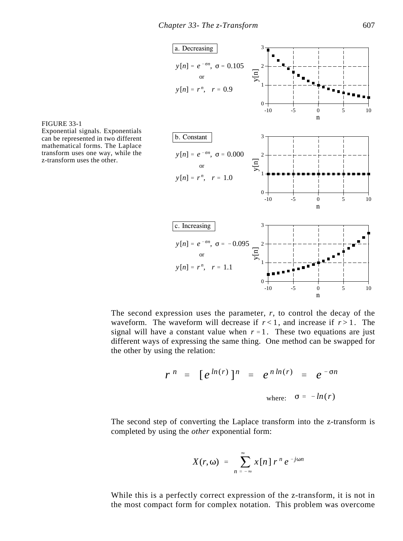

#### FIGURE 33-1

Exponential signals. Exponentials can be represented in two different mathematical forms. The Laplace transform uses one way, while the z-transform uses the other.

> The second expression uses the parameter, *r*, to control the decay of the waveform. The waveform will decrease if  $r < 1$ , and increase if  $r > 1$ . The signal will have a constant value when  $r = 1$ . These two equations are just different ways of expressing the same thing. One method can be swapped for the other by using the relation:

$$
r^{n} = [e^{ln(r)}]^{n} = e^{n ln(r)} = e^{-\sigma n}
$$
  
where:  $\sigma = -ln(r)$ 

The second step of converting the Laplace transform into the z-transform is completed by using the *other* exponential form:

$$
X(r, \omega) = \sum_{n=-\infty}^{\infty} x[n] r^n e^{-j\omega n}
$$

While this is a perfectly correct expression of the z-transform, it is not in the most compact form for complex notation. This problem was overcome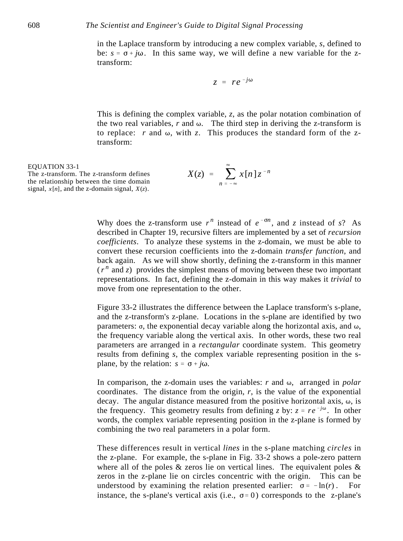in the Laplace transform by introducing a new complex variable, *s*, defined to be:  $s = \sigma + j\omega$ . In this same way, we will define a new variable for the ztransform:

$$
z = re^{-j\omega}
$$

This is defining the complex variable, *z*, as the polar notation combination of the two real variables,  $r$  and  $\omega$ . The third step in deriving the z-transform is to replace:  $r$  and  $\omega$ , with  $z$ . This produces the standard form of the ztransform:

EQUATION 33-1  
The z-transform. The z-transform defines  
the relationship between the time domain  
signal, 
$$
x[n]
$$
, and the z-domain signal,  $X(z)$ .

Why does the z-transform use  $r^n$  instead of  $e^{-\sigma n}$ , and *z* instead of *s*? As described in Chapter 19, recursive filters are implemented by a set of *recursion coefficients*. To analyze these systems in the z-domain, we must be able to convert these recursion coefficients into the z-domain *transfer function*, and back again. As we will show shortly, defining the z-transform in this manner  $(r^n$  and *z*) provides the simplest means of moving between these two important representations. In fact, defining the z-domain in this way makes it *trivial* to move from one representation to the other.

Figure 33-2 illustrates the difference between the Laplace transform's s-plane, and the z-transform's z-plane. Locations in the s-plane are identified by two parameters:  $\sigma$ , the exponential decay variable along the horizontal axis, and  $\omega$ , the frequency variable along the vertical axis. In other words, these two real parameters are arranged in a *rectangular* coordinate system. This geometry results from defining *s*, the complex variable representing position in the splane, by the relation:  $s = \sigma + j\omega$ .

In comparison, the z-domain uses the variables:  $r$  and  $\omega$ , arranged in *polar* coordinates. The distance from the origin, *r*, is the value of the exponential decay. The angular distance measured from the positive horizontal axis,  $\omega$ , is the frequency. This geometry results from defining *z* by:  $z = re^{-j\omega}$ . In other words, the complex variable representing position in the z-plane is formed by combining the two real parameters in a polar form.

These differences result in vertical *lines* in the s-plane matching *circles* in the z-plane. For example, the s-plane in Fig. 33-2 shows a pole-zero pattern where all of the poles  $\&$  zeros lie on vertical lines. The equivalent poles  $\&$ zeros in the z-plane lie on circles concentric with the origin. This can be understood by examining the relation presented earlier:  $\sigma = -\ln(r)$ . For instance, the s-plane's vertical axis (i.e.,  $\sigma = 0$ ) corresponds to the z-plane's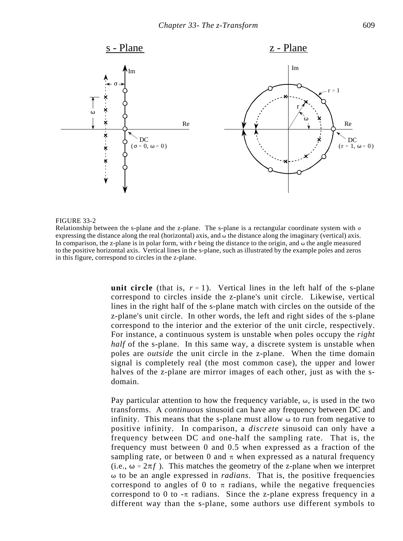

### FIGURE 33-2

Relationship between the s-plane and the z-plane. The s-plane is a rectangular coordinate system with  $\sigma$ expressing the distance along the real (horizontal) axis, and  $\omega$  the distance along the imaginary (vertical) axis. In comparison, the z-plane is in polar form, with  $r$  being the distance to the origin, and  $\omega$  the angle measured to the positive horizontal axis. Vertical lines in the s-plane, such as illustrated by the example poles and zeros in this figure, correspond to circles in the z-plane.

**unit circle** (that is,  $r = 1$ ). Vertical lines in the left half of the s-plane correspond to circles inside the z-plane's unit circle. Likewise, vertical lines in the right half of the s-plane match with circles on the outside of the z-plane's unit circle. In other words, the left and right sides of the s-plane correspond to the interior and the exterior of the unit circle, respectively. For instance, a continuous system is unstable when poles occupy the *right half* of the s-plane. In this same way, a discrete system is unstable when poles are *outside* the unit circle in the z-plane. When the time domain signal is completely real (the most common case), the upper and lower halves of the z-plane are mirror images of each other, just as with the sdomain.

Pay particular attention to how the frequency variable,  $\omega$ , is used in the two transforms. A *continuous* sinusoid can have any frequency between DC and infinity. This means that the s-plane must allow  $\omega$  to run from negative to positive infinity. In comparison, a *discrete* sinusoid can only have a frequency between DC and one-half the sampling rate. That is, the frequency must between 0 and 0.5 when expressed as a fraction of the sampling rate, or between 0 and  $\pi$  when expressed as a natural frequency (i.e.,  $\omega = 2\pi f$ ). This matches the geometry of the z-plane when we interpret  $\omega$  to be an angle expressed in *radians*. That is, the positive frequencies correspond to angles of 0 to  $\pi$  radians, while the negative frequencies correspond to 0 to  $-\pi$  radians. Since the z-plane express frequency in a different way than the s-plane, some authors use different symbols to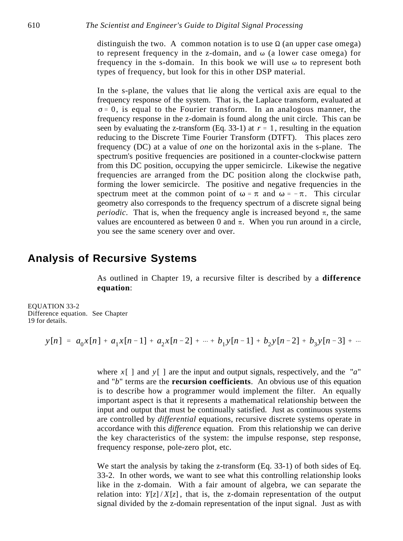distinguish the two. A common notation is to use  $\Omega$  (an upper case omega) to represent frequency in the z-domain, and  $\omega$  (a lower case omega) for frequency in the s-domain. In this book we will use  $\omega$  to represent both types of frequency, but look for this in other DSP material.

In the s-plane, the values that lie along the vertical axis are equal to the frequency response of the system. That is, the Laplace transform, evaluated at  $\sigma = 0$ , is equal to the Fourier transform. In an analogous manner, the frequency response in the z-domain is found along the unit circle. This can be seen by evaluating the z-transform (Eq. 33-1) at  $r = 1$ , resulting in the equation reducing to the Discrete Time Fourier Transform (DTFT). This places zero frequency (DC) at a value of *one* on the horizontal axis in the s-plane. The spectrum's positive frequencies are positioned in a counter-clockwise pattern from this DC position, occupying the upper semicircle. Likewise the negative frequencies are arranged from the DC position along the clockwise path, forming the lower semicircle. The positive and negative frequencies in the spectrum meet at the common point of  $\omega = \pi$  and  $\omega = -\pi$ . This circular geometry also corresponds to the frequency spectrum of a discrete signal being *periodic*. That is, when the frequency angle is increased beyond  $\pi$ , the same values are encountered as between 0 and  $\pi$ . When you run around in a circle, you see the same scenery over and over.

### J **Analysis of Recursive Systems**

As outlined in Chapter 19, a recursive filter is described by a **difference equation**:

EQUATION 33-2 Difference equation. See Chapter 19 for details.

$$
y[n] = a_0 x[n] + a_1 x[n-1] + a_2 x[n-2] + \dots + b_1 y[n-1] + b_2 y[n-2] + b_3 y[n-3] + \dots
$$

where  $x \upharpoonright$  and  $y \upharpoonright$  are the input and output signals, respectively, and the "*a*" and "*b*" terms are the **recursion coefficients**. An obvious use of this equation is to describe how a programmer would implement the filter. An equally important aspect is that it represents a mathematical relationship between the input and output that must be continually satisfied. Just as continuous systems are controlled by *differential* equations, recursive discrete systems operate in accordance with this *difference* equation. From this relationship we can derive the key characteristics of the system: the impulse response, step response, frequency response, pole-zero plot, etc.

We start the analysis by taking the z-transform (Eq. 33-1) of both sides of Eq. 33-2. In other words, we want to see what this controlling relationship looks like in the z-domain. With a fair amount of algebra, we can separate the relation into:  $Y[z]/X[z]$ , that is, the z-domain representation of the output signal divided by the z-domain representation of the input signal. Just as with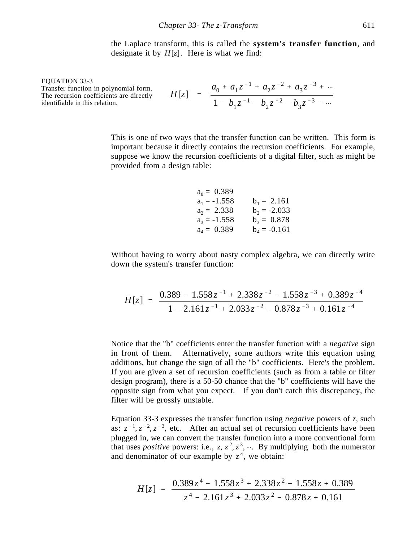the Laplace transform, this is called the **system's transfer function**, and designate it by *H*[*z*]. Here is what we find:

 $H[z] = \frac{a_0 + a_1 z^{-1} + a_2 z^{-2} + a_3 z^{-3} + \dots}{a_1 + a_2 + a_3}$  $1 - b_1 z^{-1} - b_2 z^{-2} - b_3 z^{-3} - \cdots$ EQUATION 33-3 Transfer function in polynomial form. The recursion coefficients are directly identifiable in this relation.

> This is one of two ways that the transfer function can be written. This form is important because it directly contains the recursion coefficients. For example, suppose we know the recursion coefficients of a digital filter, such as might be provided from a design table:

| $a_0 = 0.389$  |                |
|----------------|----------------|
| $a_1 = -1.558$ | $b_1 = 2.161$  |
| $a_2 = 2.338$  | $b_2 = -2.033$ |
| $a_3 = -1.558$ | $b_3 = 0.878$  |
| $a_4 = 0.389$  | $b_4 = -0.161$ |

Without having to worry about nasty complex algebra, we can directly write down the system's transfer function:

$$
H[z] = \frac{0.389 - 1.558z^{-1} + 2.338z^{-2} - 1.558z^{-3} + 0.389z^{-4}}{1 - 2.161z^{-1} + 2.033z^{-2} - 0.878z^{-3} + 0.161z^{-4}}
$$

Notice that the "b" coefficients enter the transfer function with a *negative* sign in front of them. Alternatively, some authors write this equation using additions, but change the sign of all the "b" coefficients. Here's the problem. If you are given a set of recursion coefficients (such as from a table or filter design program), there is a 50-50 chance that the "b" coefficients will have the opposite sign from what you expect. If you don't catch this discrepancy, the filter will be grossly unstable.

Equation 33-3 expresses the transfer function using *negative* powers of *z*, such as:  $z^{-1}$ ,  $z^{-2}$ ,  $z^{-3}$ , etc. After an actual set of recursion coefficients have been plugged in, we can convert the transfer function into a more conventional form that uses *positive* powers: i.e.,  $z, z^2, z^3, ...$  By multiplying both the numerator and denominator of our example by  $z^4$ , we obtain:

$$
H[z] = \frac{0.389z^4 - 1.558z^3 + 2.338z^2 - 1.558z + 0.389}{z^4 - 2.161z^3 + 2.033z^2 - 0.878z + 0.161}
$$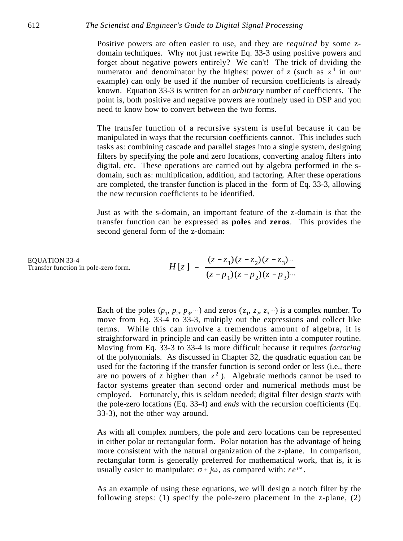Positive powers are often easier to use, and they are *required* by some zdomain techniques. Why not just rewrite Eq. 33-3 using positive powers and forget about negative powers entirely? We can't! The trick of dividing the numerator and denominator by the highest power of *z* (such as  $z^4$  in our example) can only be used if the number of recursion coefficients is already known. Equation 33-3 is written for an *arbitrary* number of coefficients. The point is, both positive and negative powers are routinely used in DSP and you need to know how to convert between the two forms.

The transfer function of a recursive system is useful because it can be manipulated in ways that the recursion coefficients cannot. This includes such tasks as: combining cascade and parallel stages into a single system, designing filters by specifying the pole and zero locations, converting analog filters into digital, etc. These operations are carried out by algebra performed in the sdomain, such as: multiplication, addition, and factoring. After these operations are completed, the transfer function is placed in the form of Eq. 33-3, allowing the new recursion coefficients to be identified.

Just as with the s-domain, an important feature of the z-domain is that the transfer function can be expressed as **poles** and **zeros**. This provides the second general form of the z-domain:

EQUATION 33-4 Transfer function in pole-zero form.

$$
H[z] = \frac{(z-z_1)(z-z_2)(z-z_3)...}{(z-p_1)(z-p_2)(z-p_3)...}
$$

Each of the poles  $(p_1, p_2, p_3, \dots)$  and zeros  $(z_1, z_2, z_3, \dots)$  is a complex number. To move from Eq. 33-4 to 33-3, multiply out the expressions and collect like terms. While this can involve a tremendous amount of algebra, it is straightforward in principle and can easily be written into a computer routine. Moving from Eq. 33-3 to 33-4 is more difficult because it requires *factoring* of the polynomials. As discussed in Chapter 32, the quadratic equation can be used for the factoring if the transfer function is second order or less (i.e., there are no powers of *z* higher than  $z^2$ ). Algebraic methods cannot be used to factor systems greater than second order and numerical methods must be employed. Fortunately, this is seldom needed; digital filter design *starts* with the pole-zero locations (Eq. 33-4) and *ends* with the recursion coefficients (Eq. 33-3), not the other way around.

As with all complex numbers, the pole and zero locations can be represented in either polar or rectangular form. Polar notation has the advantage of being more consistent with the natural organization of the z-plane. In comparison, rectangular form is generally preferred for mathematical work, that is, it is usually easier to manipulate:  $\sigma + j\omega$ , as compared with:  $re^{j\omega}$ .

As an example of using these equations, we will design a notch filter by the following steps: (1) specify the pole-zero placement in the z-plane, (2)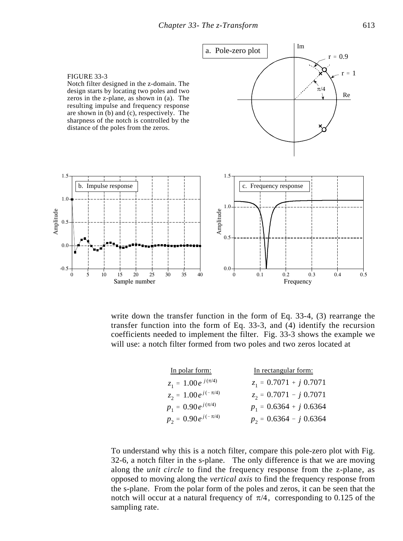

write down the transfer function in the form of Eq. 33-4, (3) rearrange the transfer function into the form of Eq. 33-3, and (4) identify the recursion coefficients needed to implement the filter. Fig. 33-3 shows the example we will use: a notch filter formed from two poles and two zeros located at

| In polar form:             | In rectangular form:      |
|----------------------------|---------------------------|
| $z_1 = 1.00 e^{j(\pi/4)}$  | $z_1 = 0.7071 + j 0.7071$ |
| $z_2 = 1.00 e^{j(-\pi/4)}$ | $z_2$ = 0.7071 - j 0.7071 |
| $p_1 = 0.90 e^{j(\pi/4)}$  | $p_1 = 0.6364 + j 0.6364$ |
| $p_2 = 0.90 e^{j(-\pi/4)}$ | $p_2 = 0.6364 - j 0.6364$ |

To understand why this is a notch filter, compare this pole-zero plot with Fig. 32-6, a notch filter in the s-plane. The only difference is that we are moving along the *unit circle* to find the frequency response from the z-plane, as opposed to moving along the *vertical axis* to find the frequency response from the s-plane. From the polar form of the poles and zeros, it can be seen that the notch will occur at a natural frequency of  $\pi/4$ , corresponding to 0.125 of the sampling rate.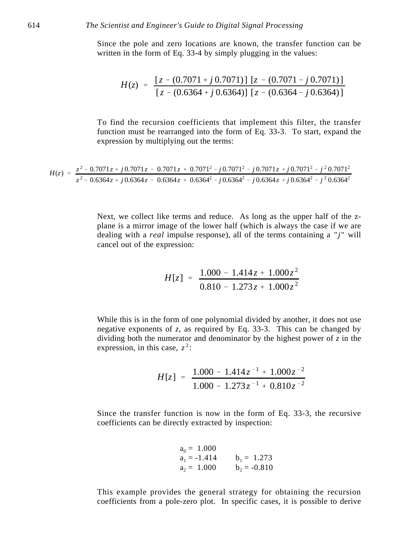Since the pole and zero locations are known, the transfer function can be written in the form of Eq. 33-4 by simply plugging in the values:

$$
H(z) = \frac{[z - (0.7071 + j 0.7071)] [z - (0.7071 - j 0.7071)]}{[z - (0.6364 + j 0.6364)] [z - (0.6364 - j 0.6364)]}
$$

To find the recursion coefficients that implement this filter, the transfer function must be rearranged into the form of Eq. 33-3. To start, expand the expression by multiplying out the terms:

$$
H(z) = \frac{z^2 - 0.7071z + j0.7071z - 0.7071z + 0.7071^2 - j0.7071^2 - j0.7071z + j0.7071^2 - j^2 0.7071^2}{z^2 - 0.6364z + j0.6364z - 0.6364z + 0.6364^2 - j0.6364^2 - j0.6364z + j0.6364^2 - j^2 0.6364^2}
$$

Next, we collect like terms and reduce. As long as the upper half of the zplane is a mirror image of the lower half (which is always the case if we are dealing with a *real* impulse response), all of the terms containing a " *j*" will cancel out of the expression:

$$
H[z] = \frac{1.000 - 1.414z + 1.000z^2}{0.810 - 1.273z + 1.000z^2}
$$

While this is in the form of one polynomial divided by another, it does not use negative exponents of *z*, as required by Eq. 33-3. This can be changed by dividing both the numerator and denominator by the highest power of *z* in the expression, in this case,  $z^2$ :

$$
H[z] = \frac{1.000 - 1.414z^{-1} + 1.000z^{-2}}{1.000 - 1.273z^{-1} + 0.810z^{-2}}
$$

Since the transfer function is now in the form of Eq. 33-3, the recursive coefficients can be directly extracted by inspection:

$$
a_0 = 1.000a_1 = -1.414b_1 = 1.273a_2 = 1.000b_2 = -0.810
$$

This example provides the general strategy for obtaining the recursion coefficients from a pole-zero plot. In specific cases, it is possible to derive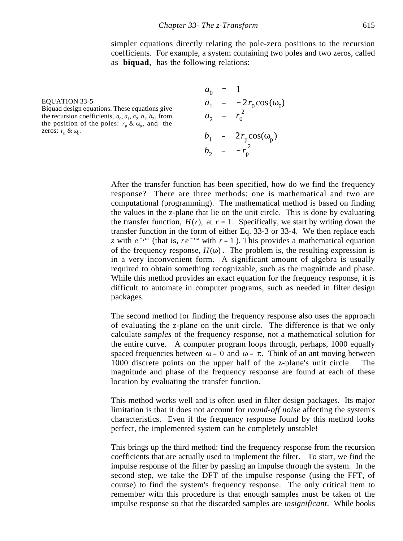simpler equations directly relating the pole-zero positions to the recursion coefficients. For example, a system containing two poles and two zeros, called as **biquad**, has the following relations:

EQUATION 33-5

Biquad design equations. These equations give the recursion coefficients,  $a_0$ ,  $a_1$ ,  $a_2$ ,  $b_1$ ,  $b_2$ , from the position of the poles:  $r_n \& \omega_n$ , and the zeros:  $r_0 \& \omega_0$ .

 $a_0 = 1$  $a_1 = -2r_0 \cos(\omega_0)$  $a_2 = r_0^2$ 0  $b_1 = 2r_p \cos(\omega_p)$  $b_2 = -r_p^2$ p

After the transfer function has been specified, how do we find the frequency response? There are three methods: one is mathematical and two are computational (programming). The mathematical method is based on finding the values in the z-plane that lie on the unit circle. This is done by evaluating the transfer function,  $H(z)$ , at  $r = 1$ . Specifically, we start by writing down the transfer function in the form of either Eq. 33-3 or 33-4. We then replace each *z* with  $e^{-j\omega}$  (that is,  $re^{-j\omega}$  with  $r = 1$ ). This provides a mathematical equation of the frequency response,  $H(\omega)$ . The problem is, the resulting expression is in a very inconvenient form. A significant amount of algebra is usually required to obtain something recognizable, such as the magnitude and phase. While this method provides an exact equation for the frequency response, it is difficult to automate in computer programs, such as needed in filter design packages.

The second method for finding the frequency response also uses the approach of evaluating the z-plane on the unit circle. The difference is that we only calculate *samples* of the frequency response, not a mathematical solution for the entire curve. A computer program loops through, perhaps, 1000 equally spaced frequencies between  $\omega = 0$  and  $\omega = \pi$ . Think of an ant moving between 1000 discrete points on the upper half of the z-plane's unit circle. The magnitude and phase of the frequency response are found at each of these location by evaluating the transfer function.

This method works well and is often used in filter design packages. Its major limitation is that it does not account for *round-off noise* affecting the system's characteristics. Even if the frequency response found by this method looks perfect, the implemented system can be completely unstable!

This brings up the third method: find the frequency response from the recursion coefficients that are actually used to implement the filter. To start, we find the impulse response of the filter by passing an impulse through the system. In the second step, we take the DFT of the impulse response (using the FFT, of course) to find the system's frequency response. The only critical item to remember with this procedure is that enough samples must be taken of the impulse response so that the discarded samples are *insignificant*. While books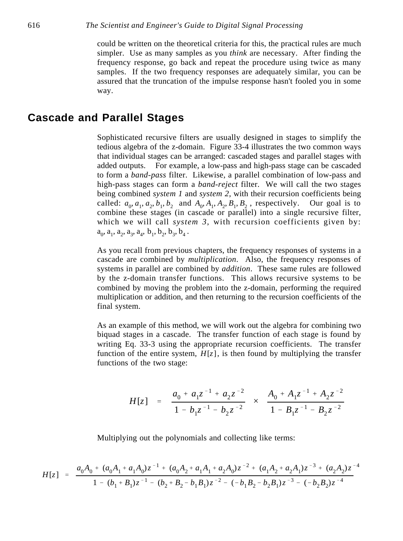could be written on the theoretical criteria for this, the practical rules are much simpler. Use as many samples as you *think* are necessary. After finding the frequency response, go back and repeat the procedure using twice as many samples. If the two frequency responses are adequately similar, you can be assured that the truncation of the impulse response hasn't fooled you in some way.

### **Cascade and Parallel Stages**

Sophisticated recursive filters are usually designed in stages to simplify the tedious algebra of the z-domain. Figure 33-4 illustrates the two common ways that individual stages can be arranged: cascaded stages and parallel stages with added outputs. For example, a low-pass and high-pass stage can be cascaded to form a *band-pass* filter. Likewise, a parallel combination of low-pass and high-pass stages can form a *band-reject* filter. We will call the two stages being combined *system 1* and *system 2*, with their recursion coefficients being called:  $a_0, a_1, a_2, b_1, b_2$  and  $A_0, A_1, A_2, B_1, B_2$ , respectively. Our goal is to combine these stages (in cascade or parallel) into a single recursive filter, which we will call *system 3*, with recursion coefficients given by:  $a_0$ ,  $a_1$ ,  $a_2$ ,  $a_3$ ,  $a_4$ ,  $b_1$ ,  $b_2$ ,  $b_3$ ,  $b_4$ .

As you recall from previous chapters, the frequency responses of systems in a cascade are combined by *multiplication*. Also, the frequency responses of systems in parallel are combined by *addition*. These same rules are followed by the z-domain transfer functions. This allows recursive systems to be combined by moving the problem into the z-domain, performing the required multiplication or addition, and then returning to the recursion coefficients of the final system.

As an example of this method, we will work out the algebra for combining two biquad stages in a cascade. The transfer function of each stage is found by writing Eq. 33-3 using the appropriate recursion coefficients. The transfer function of the entire system,  $H[z]$ , is then found by multiplying the transfer functions of the two stage:

$$
H[z] = \frac{a_0 + a_1 z^{-1} + a_2 z^{-2}}{1 - b_1 z^{-1} - b_2 z^{-2}} \times \frac{A_0 + A_1 z^{-1} + A_2 z^{-2}}{1 - B_1 z^{-1} - B_2 z^{-2}}
$$

Multiplying out the polynomials and collecting like terms:

$$
H[z] = \frac{a_0 A_0 + (a_0 A_1 + a_1 A_0) z^{-1} + (a_0 A_2 + a_1 A_1 + a_2 A_0) z^{-2} + (a_1 A_2 + a_2 A_1) z^{-3} + (a_2 A_2) z^{-4}}{1 - (b_1 + B_1) z^{-1} - (b_2 + B_2 - b_1 B_1) z^{-2} - (-b_1 B_2 - b_2 B_1) z^{-3} - (-b_2 B_2) z^{-4}}
$$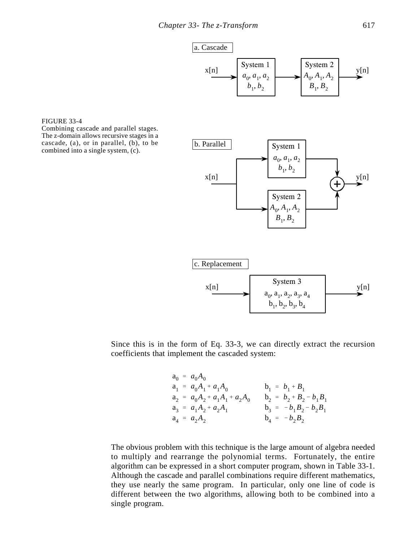

#### FIGURE 33-4

Combining cascade and parallel stages. The z-domain allows recursive stages in a cascade, (a), or in parallel, (b), to be combined into a single system, (c).





Since this is in the form of Eq. 33-3, we can directly extract the recursion coefficients that implement the cascaded system:

$$
a_0 = a_0 A_0
$$
  
\n
$$
a_1 = a_0 A_1 + a_1 A_0
$$
  
\n
$$
a_2 = a_0 A_2 + a_1 A_1 + a_2 A_0
$$
  
\n
$$
a_3 = a_1 A_2 + a_2 A_1
$$
  
\n
$$
a_4 = a_2 A_2
$$
  
\n
$$
b_1 = b_1 + B_1
$$
  
\n
$$
b_2 = b_2 + B_2 - b_1 B_1
$$
  
\n
$$
b_3 = -b_1 B_2 - b_2 B_1
$$
  
\n
$$
b_4 = -b_2 B_2
$$

The obvious problem with this technique is the large amount of algebra needed to multiply and rearrange the polynomial terms. Fortunately, the entire algorithm can be expressed in a short computer program, shown in Table 33-1. Although the cascade and parallel combinations require different mathematics, they use nearly the same program. In particular, only one line of code is different between the two algorithms, allowing both to be combined into a single program.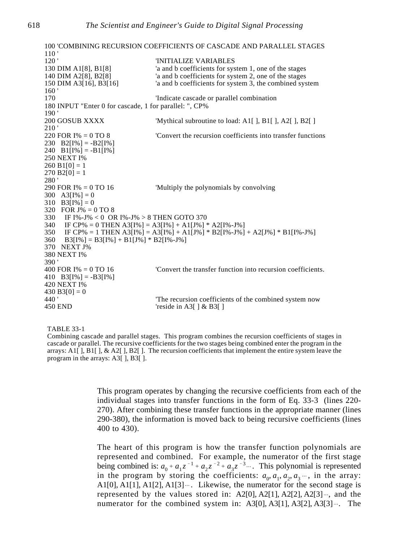100 'COMBINING RECURSION COEFFICIENTS OF CASCADE AND PARALLEL STAGES 110 ' 120 ' 'INITIALIZE VARIABLES 130 DIM A1[8], B1[8] 'a and b coefficients for system 1, one of the stages 140 DIM A2[8], B2[8] <sup>'a</sup> and b coefficients for system 2, one of the stages<br>150 DIM A3[16], B3[16] <sup>'</sup>a and b coefficients for system 3, the combined sys 'a and b coefficients for system 3, the combined system 160 ' 170 'Indicate cascade or parallel combination 180 INPUT "Enter 0 for cascade, 1 for parallel: ", CP% 190 ' 200 GOSUB XXXX 'Mythical subroutine to load: A1[ ], B1[ ], A2[ ], B2[ ] 210 ' 220 FOR I% = 0 TO 8 'Convert the recursion coefficients into transfer functions 230  $B2[I\%] = -B2[I\%]$ 240  $B1[I\%] = -B1[I\%]$ 250 NEXT I%  $260 B1[0] = 1$  $270 B2[0] = 1$ 280 ' 290 FOR  $I% = 0$  TO 16 'Multiply the polynomials by convolving  $300 \text{ A}3[1\%] = 0$  $310$  B3[I%] = 0 320 FOR  $J\% = 0$  TO 8 330 IF I%-J% < 0 OR I%-J% > 8 THEN GOTO 370 340 IF CP% = 0 THEN A3[I%] = A3[I%] + A1[J%] \* A2[I%-J%] 350 IF CP% = 1 THEN A3[I%] = A3[I%] + A1[J%] \* B2[I%-J%] + A2[J%] \* B1[I%-J%] 360 B3[I%] = B3[I%] + B1[J%] \* B2[I%-J%] 370 NEXT J% 380 NEXT I%  $390'$ <br> $400$  FOR I% = 0 TO 16 'Convert the transfer function into recursion coefficients. 410  $B3[I\%] = -B3[I\%]$ 420 NEXT I% 430  $B3[0] = 0$ 440 '<br>450 END ' 'The recursion coefficients of the combined system now<br>'reside in A3[] & B3[] 'reside in A3 $[$   $]$  & B3 $[$   $]$ 

TABLE 33-1

Combining cascade and parallel stages. This program combines the recursion coefficients of stages in cascade or parallel. The recursive coefficients for the two stages being combined enter the program in the arrays: A1 $[$ ], B1 $[$ ], & A2 $[$ ], B2 $[$ ]. The recursion coefficients that implement the entire system leave the program in the arrays: A3[ ], B3[ ].

> This program operates by changing the recursive coefficients from each of the individual stages into transfer functions in the form of Eq. 33-3 (lines 220- 270). After combining these transfer functions in the appropriate manner (lines 290-380), the information is moved back to being recursive coefficients (lines 400 to 430).

> The heart of this program is how the transfer function polynomials are represented and combined. For example, the numerator of the first stage being combined is:  $a_0 + a_1 z^{-1} + a_2 z^{-2} + a_3 z^{-3} \dots$ . This polynomial is represented in the program by storing the coefficients:  $a_0$ ,  $a_1$ ,  $a_2$ ,  $a_3$ ..., in the array: A1[0], A1[1], A1[2], A1[3] $\cdots$ . Likewise, the numerator for the second stage is represented by the values stored in:  $A2[0], A2[1], A2[2], A2[3]$ , and the numerator for the combined system in: A3[0], A3[1], A3[2], A3[3] ... The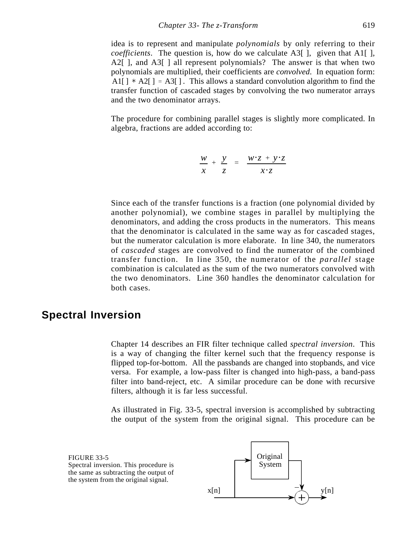idea is to represent and manipulate *polynomials* by only referring to their *coefficients*. The question is, how do we calculate A3[], given that A1[], A2[ ], and A3[ ] all represent polynomials? The answer is that when two polynomials are multiplied, their coefficients are *convolved*. In equation form: A1[ ]  $*$  A2[ ] = A3[ ]. This allows a standard convolution algorithm to find the transfer function of cascaded stages by convolving the two numerator arrays and the two denominator arrays.

The procedure for combining parallel stages is slightly more complicated. In algebra, fractions are added according to:

$$
\frac{w}{x} + \frac{y}{z} = \frac{w \cdot z + y \cdot z}{x \cdot z}
$$

Since each of the transfer functions is a fraction (one polynomial divided by another polynomial), we combine stages in parallel by multiplying the denominators, and adding the cross products in the numerators. This means that the denominator is calculated in the same way as for cascaded stages, but the numerator calculation is more elaborate. In line 340, the numerators of *cascaded* stages are convolved to find the numerator of the combined transfer function. In line 350, the numerator of the *parallel* stage combination is calculated as the sum of the two numerators convolved with the two denominators. Line 360 handles the denominator calculation for both cases.

### **Spectral Inversion**

Chapter 14 describes an FIR filter technique called *spectral inversion*. This is a way of changing the filter kernel such that the frequency response is flipped top-for-bottom. All the passbands are changed into stopbands, and vice versa. For example, a low-pass filter is changed into high-pass, a band-pass filter into band-reject, etc. A similar procedure can be done with recursive filters, although it is far less successful.

As illustrated in Fig. 33-5, spectral inversion is accomplished by subtracting the output of the system from the original signal. This procedure can be



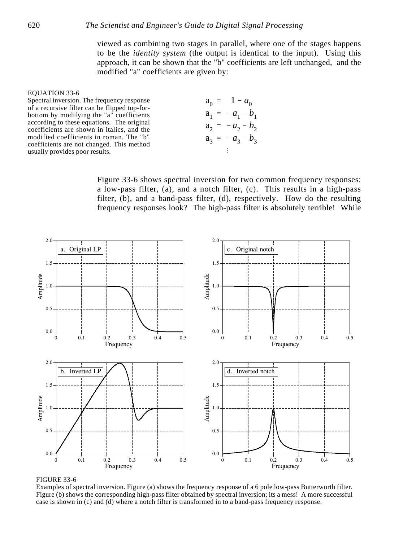viewed as combining two stages in parallel, where one of the stages happens to be the *identity system* (the output is identical to the input). Using this approach, it can be shown that the "b" coefficients are left unchanged, and the modified "a" coefficients are given by:

#### EQUATION 33-6

| 600111011 <i>33</i> 0                         |                    |
|-----------------------------------------------|--------------------|
| Spectral inversion. The frequency response    | $a_0 = 1 - a_0$    |
| of a recursive filter can be flipped top-for- |                    |
| bottom by modifying the "a" coefficients      | $a_1 = -a_1 - b_1$ |
| according to these equations. The original    | $a_2 = -a_2 - b_2$ |
| coefficients are shown in italics, and the    |                    |
| modified coefficients in roman. The "b"       | $a_3 = -a_3 - b_3$ |
| coefficients are not changed. This method     |                    |
| usually provides poor results.                |                    |
|                                               |                    |

Figure 33-6 shows spectral inversion for two common frequency responses: a low-pass filter, (a), and a notch filter, (c). This results in a high-pass filter, (b), and a band-pass filter, (d), respectively. How do the resulting frequency responses look? The high-pass filter is absolutely terrible! While



#### FIGURE 33-6

Examples of spectral inversion. Figure (a) shows the frequency response of a 6 pole low-pass Butterworth filter. Figure (b) shows the corresponding high-pass filter obtained by spectral inversion; its a mess! A more successful case is shown in (c) and (d) where a notch filter is transformed in to a band-pass frequency response.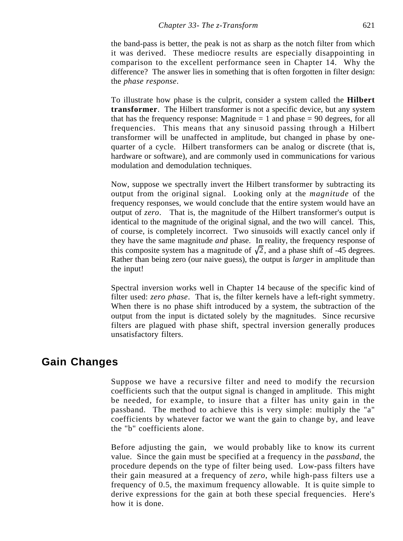the band-pass is better, the peak is not as sharp as the notch filter from which it was derived. These mediocre results are especially disappointing in comparison to the excellent performance seen in Chapter 14. Why the difference? The answer lies in something that is often forgotten in filter design: the *phase response*.

To illustrate how phase is the culprit, consider a system called the **Hilbert transformer**. The Hilbert transformer is not a specific device, but any system that has the frequency response: Magnitude  $= 1$  and phase  $= 90$  degrees, for all frequencies. This means that any sinusoid passing through a Hilbert transformer will be unaffected in amplitude, but changed in phase by onequarter of a cycle. Hilbert transformers can be analog or discrete (that is, hardware or software), and are commonly used in communications for various modulation and demodulation techniques.

Now, suppose we spectrally invert the Hilbert transformer by subtracting its output from the original signal. Looking only at the *magnitude* of the frequency responses, we would conclude that the entire system would have an output of *zero*. That is, the magnitude of the Hilbert transformer's output is identical to the magnitude of the original signal, and the two will cancel. This, of course, is completely incorrect. Two sinusoids will exactly cancel only if they have the same magnitude *and* phase. In reality, the frequency response of this composite system has a magnitude of  $\sqrt{2}$ , and a phase shift of -45 degrees. Rather than being zero (our naive guess), the output is *larger* in amplitude than the input!

Spectral inversion works well in Chapter 14 because of the specific kind of filter used: *zero phase*. That is, the filter kernels have a left-right symmetry. When there is no phase shift introduced by a system, the subtraction of the output from the input is dictated solely by the magnitudes. Since recursive filters are plagued with phase shift, spectral inversion generally produces unsatisfactory filters.

### **Gain Changes**

Suppose we have a recursive filter and need to modify the recursion coefficients such that the output signal is changed in amplitude. This might be needed, for example, to insure that a filter has unity gain in the passband. The method to achieve this is very simple: multiply the "a" coefficients by whatever factor we want the gain to change by, and leave the "b" coefficients alone.

Before adjusting the gain, we would probably like to know its current value. Since the gain must be specified at a frequency in the *passband*, the procedure depends on the type of filter being used. Low-pass filters have their gain measured at a frequency of *zero*, while high-pass filters use a frequency of 0.5, the maximum frequency allowable. It is quite simple to derive expressions for the gain at both these special frequencies. Here's how it is done.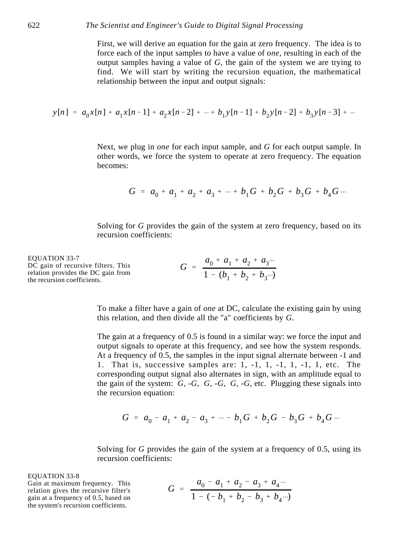First, we will derive an equation for the gain at zero frequency. The idea is to force each of the input samples to have a value of *one*, resulting in each of the output samples having a value of *G*, the gain of the system we are trying to find. We will start by writing the recursion equation, the mathematical relationship between the input and output signals:

$$
y[n] = a_0 x[n] + a_1 x[n-1] + a_2 x[n-2] + \dots + b_1 y[n-1] + b_2 y[n-2] + b_3 y[n-3] + \dots
$$

Next, we plug in *one* for each input sample, and *G* for each output sample. In other words, we force the system to operate at zero frequency. The equation becomes:

$$
G = a_0 + a_1 + a_2 + a_3 + \dots + b_1 G + b_2 G + b_3 G + b_4 G \dots
$$

Solving for *G* provides the gain of the system at zero frequency, based on its recursion coefficients:

EQUATION 33-7 DC gain of recursive filters. This relation provides the DC gain from the recursion coefficients.

$$
G = \frac{a_0 + a_1 + a_2 + a_3 \cdots}{1 - (b_1 + b_2 + b_3 \cdots)}
$$

To make a filter have a gain of *one* at DC, calculate the existing gain by using this relation, and then divide all the "a" coefficients by *G*.

The gain at a frequency of 0.5 is found in a similar way: we force the input and output signals to operate at this frequency, and see how the system responds. At a frequency of 0.5, the samples in the input signal alternate between -1 and 1. That is, successive samples are: 1, -1, 1, -1, 1, -1, 1, etc. The corresponding output signal also alternates in sign, with an amplitude equal to the gain of the system: *G*, -*G*, *G*, -*G*, *G*, -*G*, etc. Plugging these signals into the recursion equation:

$$
G = a_0 - a_1 + a_2 - a_3 + \dots - b_1 G + b_2 G - b_3 G + b_4 G \dots
$$

Solving for *G* provides the gain of the system at a frequency of 0.5, using its recursion coefficients:

EQUATION 33-8

Gain at maximum frequency. This relation gives the recursive filter's gain at a frequency of 0.5, based on the system's recursion coefficients.

$$
G = \frac{a_0 - a_1 + a_2 - a_3 + a_4 \cdots}{1 - (-b_1 + b_2 - b_3 + b_4 \cdots)}
$$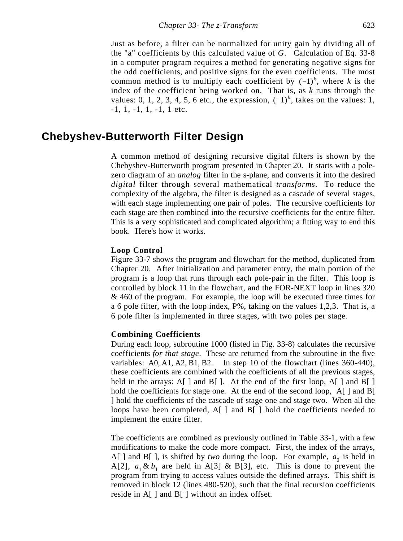Just as before, a filter can be normalized for unity gain by dividing all of the "a" coefficients by this calculated value of *G*. Calculation of Eq. 33-8 in a computer program requires a method for generating negative signs for the odd coefficients, and positive signs for the even coefficients. The most common method is to multiply each coefficient by  $(-1)^k$ , where *k* is the index of the coefficient being worked on. That is, as *k* runs through the values: 0, 1, 2, 3, 4, 5, 6 etc., the expression,  $(-1)^k$ , takes on the values: 1,  $-1, 1, -1, 1, -1, 1$  etc.

### **Chebyshev-Butterworth Filter Design**

A common method of designing recursive digital filters is shown by the Chebyshev-Butterworth program presented in Chapter 20. It starts with a polezero diagram of an *analog* filter in the s-plane, and converts it into the desired *digital* filter through several mathematical *transforms*. To reduce the complexity of the algebra, the filter is designed as a cascade of several stages, with each stage implementing one pair of poles. The recursive coefficients for each stage are then combined into the recursive coefficients for the entire filter. This is a very sophisticated and complicated algorithm; a fitting way to end this book. Here's how it works.

### **Loop Control**

Figure 33-7 shows the program and flowchart for the method, duplicated from Chapter 20. After initialization and parameter entry, the main portion of the program is a loop that runs through each pole-pair in the filter. This loop is controlled by block 11 in the flowchart, and the FOR-NEXT loop in lines 320 & 460 of the program. For example, the loop will be executed three times for a 6 pole filter, with the loop index, P%, taking on the values 1,2,3. That is, a 6 pole filter is implemented in three stages, with two poles per stage.

### **Combining Coefficients**

During each loop, subroutine 1000 (listed in Fig. 33-8) calculates the recursive coefficients *for that stage*. These are returned from the subroutine in the five variables: A0, A1, A2, B1, B2. In step 10 of the flowchart (lines 360-440), these coefficients are combined with the coefficients of all the previous stages, held in the arrays:  $A[\ ]$  and  $B[\ ]$ . At the end of the first loop,  $A[\ ]$  and  $B[\ ]$ hold the coefficients for stage one. At the end of the second loop, A[] and B[ ] hold the coefficients of the cascade of stage one and stage two. When all the loops have been completed,  $A[\ ]$  and  $B[\ ]$  hold the coefficients needed to implement the entire filter.

The coefficients are combined as previously outlined in Table 33-1, with a few modifications to make the code more compact. First, the index of the arrays, A[ ] and B[ ], is shifted by *two* during the loop. For example,  $a_0$  is held in A[2],  $a_1 \& b_1$  are held in A[3] & B[3], etc. This is done to prevent the program from trying to access values outside the defined arrays. This shift is removed in block 12 (lines 480-520), such that the final recursion coefficients reside in A[ ] and B[ ] without an index offset.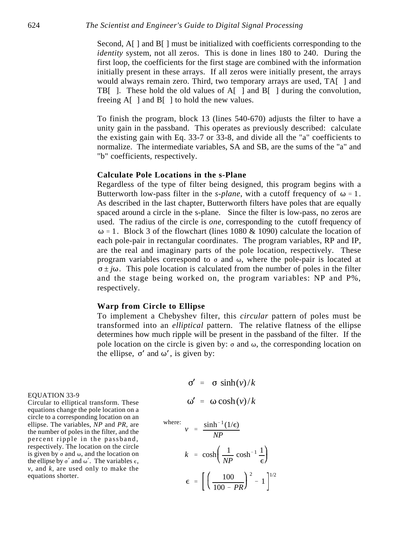Second, A[] and B[] must be initialized with coefficients corresponding to the *identity* system, not all zeros. This is done in lines 180 to 240. During the first loop, the coefficients for the first stage are combined with the information initially present in these arrays. If all zeros were initially present, the arrays would always remain zero. Third, two temporary arrays are used, TA[ ] and TB[ ]. These hold the old values of A[ ] and B[ ] during the convolution, freeing  $A[\ ]$  and  $B[\ ]$  to hold the new values.

To finish the program, block 13 (lines 540-670) adjusts the filter to have a unity gain in the passband. This operates as previously described: calculate the existing gain with Eq. 33-7 or 33-8, and divide all the "a" coefficients to normalize. The intermediate variables, SA and SB, are the sums of the "a" and "b" coefficients, respectively.

### **Calculate Pole Locations in the s-Plane**

Regardless of the type of filter being designed, this program begins with a Butterworth low-pass filter in the *s-plane*, with a cutoff frequency of  $\omega = 1$ . As described in the last chapter, Butterworth filters have poles that are equally spaced around a circle in the s-plane. Since the filter is low-pass, no zeros are used. The radius of the circle is *one*, corresponding to the cutoff frequency of  $\omega$  = 1. Block 3 of the flowchart (lines 1080 & 1090) calculate the location of each pole-pair in rectangular coordinates. The program variables, RP and IP, are the real and imaginary parts of the pole location, respectively. These program variables correspond to  $\sigma$  and  $\omega$ , where the pole-pair is located at  $\sigma \pm j\omega$ . This pole location is calculated from the number of poles in the filter and the stage being worked on, the program variables: NP and P%, respectively.

### **Warp from Circle to Ellipse**

To implement a Chebyshev filter, this *circular* pattern of poles must be transformed into an *elliptical* pattern. The relative flatness of the ellipse determines how much ripple will be present in the passband of the filter. If the pole location on the circle is given by:  $\sigma$  and  $\omega$ , the corresponding location on the ellipse,  $\sigma'$  and  $\omega'$ , is given by:

#### EQUATION 33-9

Circular to elliptical transform. These equations change the pole location on a circle to a corresponding location on an ellipse. The variables, *NP* and *PR*, are the number of poles in the filter, and the percent ripple in the passband, respectively. The location on the circle is given by  $\sigma$  and  $\omega$ , and the location on the ellipse by  $\sigma'$  and  $\omega'$ . The variables  $\epsilon$ , *v*, and *k,* are used only to make the equations shorter.

$$
\sigma' = \sigma \sinh(v)/k
$$

$$
\omega' = \omega \cosh(v)/k
$$

where:  
\n
$$
v = \frac{\sinh^{-1}(1/\epsilon)}{NP}
$$
  
\n $k = \cosh\left(\frac{1}{NP}\cosh^{-1}\frac{1}{\epsilon}\right)$   
\n $\epsilon = \left[\left(\frac{100}{100 - PR}\right)^2 - 1\right]^{1/2}$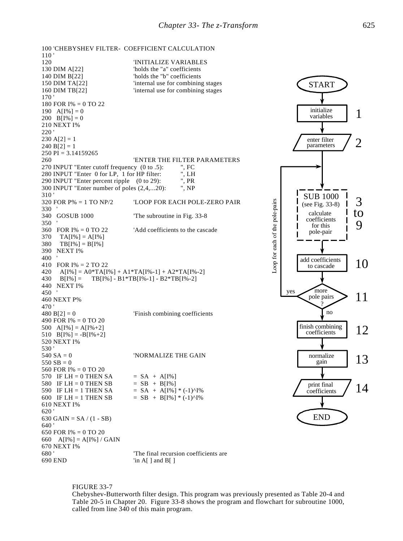



FIGURE 33-7

Chebyshev-Butterworth filter design. This program was previously presented as Table 20-4 and Table 20-5 in Chapter 20. Figure 33-8 shows the program and flowchart for subroutine 1000, called from line 340 of this main program.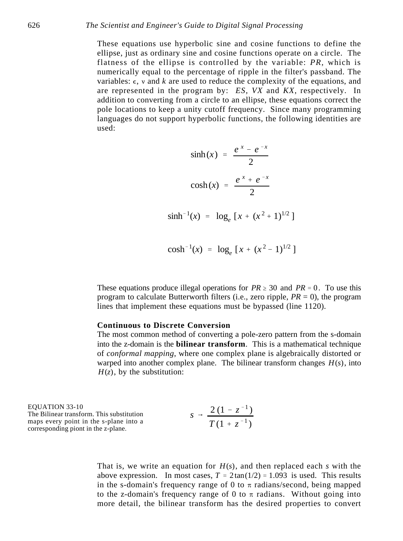These equations use hyperbolic sine and cosine functions to define the ellipse, just as ordinary sine and cosine functions operate on a circle. The flatness of the ellipse is controlled by the variable: *PR*, which is numerically equal to the percentage of ripple in the filter's passband. The variables:  $\epsilon$ , v and *k* are used to reduce the complexity of the equations, and are represented in the program by: *ES*, *VX* and *KX*, respectively. In addition to converting from a circle to an ellipse, these equations correct the pole locations to keep a unity cutoff frequency. Since many programming languages do not support hyperbolic functions, the following identities are used:

$$
\sinh(x) = \frac{e^{x} - e^{-x}}{2}
$$
  
\n
$$
\cosh(x) = \frac{e^{x} + e^{-x}}{2}
$$
  
\n
$$
\sinh^{-1}(x) = \log_e [x + (x^2 + 1)^{1/2}]
$$
  
\n
$$
\cosh^{-1}(x) = \log_e [x + (x^2 - 1)^{1/2}]
$$

These equations produce illegal operations for  $PR \ge 30$  and  $PR = 0$ . To use this program to calculate Butterworth filters (i.e., zero ripple,  $PR = 0$ ), the program lines that implement these equations must be bypassed (line 1120).

### **Continuous to Discrete Conversion**

The most common method of converting a pole-zero pattern from the s-domain into the z-domain is the **bilinear transform**. This is a mathematical technique of *conformal mapping*, where one complex plane is algebraically distorted or warped into another complex plane. The bilinear transform changes  $H(s)$ , into  $H(z)$ , by the substitution:

EQUATION 33-10 The Bilinear transform. This substitution maps every point in the s-plane into a corresponding piont in the z-plane.

$$
s \rightarrow \frac{2(1-z^{-1})}{T(1+z^{-1})}
$$

That is, we write an equation for *H*(*s*), and then replaced each *s* with the above expression. In most cases,  $T = 2 \tan(1/2) = 1.093$  is used. This results in the s-domain's frequency range of 0 to  $\pi$  radians/second, being mapped to the z-domain's frequency range of 0 to  $\pi$  radians. Without going into more detail, the bilinear transform has the desired properties to convert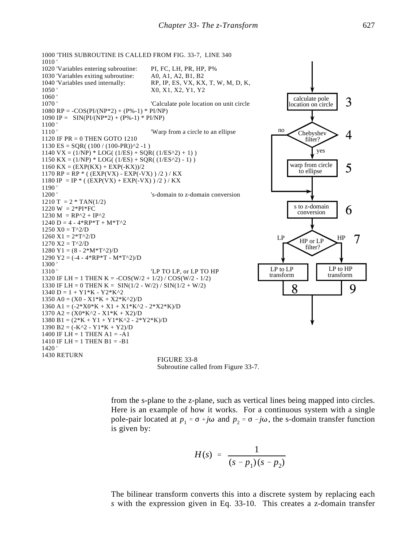$\mathcal{L}$  HP or  $\mathcal{L}$  HP filter? s to z-domain conversion warp from circle to ellipse Chebyshev filter? yes no calculate pole location on circle LP to LP transform LP to HP transform 3 4 5 6 7 8 9 1000 'THIS SUBROUTINE IS CALLED FROM FIG. 33-7, LINE 340 1010 ' 1020 'Variables entering subroutine: PI, FC, LH, PR, HP, P% 1030 'Variables exiting subroutine: A0, A1, A2, B1, B2<br>1040 'Variables used internally: RP, IP, ES, VX, KX RP, IP, ES, VX, KX, T, W, M, D, K, 1050 ' X0, X1, X2, Y1, Y2 1060 ' 1070 ' 'Calculate pole location on unit circle 1080 RP =  $-COS(PI/(NP*2) + (P%-1) * PI/NP)$ 1090 IP =  $\text{SIN}(\text{PI}/(\text{NP*2}) + (\text{P}\% - 1) * \text{PI}/\text{NP})$ 1100 ' 1110 ' 'Warp from a circle to an ellipse 1120 IF PR = 0 THEN GOTO 1210 1130 ES = SQR( $(100 / (100-PR))^2$  -1)  $1140 \text{ VX} = (1/\text{NP}) * LOG((1/\text{ES}) + SQR((1/\text{ES}^2) + 1))$ 1150 KX =  $(1/NP) * LOG( (1/ES) + SQR( (1/ES^2) - 1) )$  $1160$  KX =  $(EXP(KX) + EXP(-KX))/2$ 1170  $RP = RP * ( (EXP(VX) - EXP(-VX) ) / 2 ) / KX$ 1180 IP = IP \* ( $(EXP(VX) + EXP(-VX)$ ) /2) / KX 1190 ' 1200 ' s-domain to z-domain conversion  $1210 \text{ T} = 2 * \text{TAN}(1/2)$  $1220 W = 2*PI*FC$  $1230 M = RP^2 + IP^2$  $1240 D = 4 - 4*RP*T + M*T^2$  $1250 X0 = T^2/D$  $1260 X1 = 2*T^2/D$  $1270 X2 = T^2/D$  $1280 \text{ Y1} = (8 - 2 \cdot \text{M} \cdot \text{T}^2)/D$ 1290  $Y2 = (-4 - 4*RP*T - M*T^2)/D$ 1300<br>1310 'LP TO LP, or LP TO HP 1320 IF LH = 1 THEN  $K = -COS(W/2 + 1/2) / COS(W/2 - 1/2)$ 1330 IF LH = 0 THEN K =  $\text{SIN}(1/2 - W/2) / \text{SIN}(1/2 + W/2)$  $1340 D = 1 + Y1*K - Y2*K^2$ 1350 A0 =  $(X0 - X1*K + X2*K^2)/D$ 1360 A1 =  $(-2*X0*K + X1 + X1*K^2 - 2*X2*K)/D$  $1370 A2 = (X0*K^2 - X1*K + X2)/D$ 1380 B1 =  $(2*K + Y1 + Y1*K^2 - 2*Y2*K) / D$ 1390 B2 =  $(-K^2 - Y1*K + Y2)/D$ 1400 IF LH = 1 THEN  $A1 = -A1$ 1410 IF LH = 1 THEN  $B1 = -B1$ 1420 ' 1430 RETURN

FIGURE 33-8 Subroutine called from Figure 33-7.

from the s-plane to the z-plane, such as vertical lines being mapped into circles. Here is an example of how it works. For a continuous system with a single pole-pair located at  $p_1 = \sigma + j\omega$  and  $p_2 = \sigma - j\omega$ , the s-domain transfer function is given by:

$$
H(s) = \frac{1}{(s-p_1)(s-p_2)}
$$

The bilinear transform converts this into a discrete system by replacing each *s* with the expression given in Eq. 33-10. This creates a z-domain transfer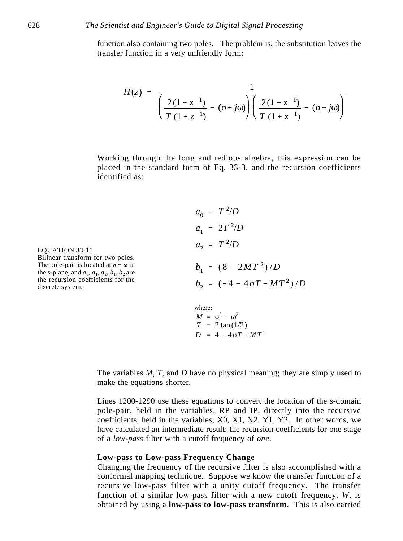function also containing two poles. The problem is, the substitution leaves the transfer function in a very unfriendly form:

$$
H(z) = \frac{1}{\left(\frac{2(1-z^{-1})}{T(1+z^{-1})} - (\sigma + j\omega)\right)\left(\frac{2(1-z^{-1})}{T(1+z^{-1})} - (\sigma - j\omega)\right)}
$$

Working through the long and tedious algebra, this expression can be placed in the standard form of Eq. 33-3, and the recursion coefficients identified as:

 $a_0 = T^2/D$  $a_1 = 2T^2/D$  $a_2 = T^2/D$  $b_2 = (-4 - 4\sigma T - MT^2)/D$  $b_1 = (8 - 2MT^2)/D$ where:  $M = \sigma^2 + \omega^2$ EQUATION 33-11 Bilinear transform for two poles. The pole-pair is located at  $\sigma \pm \omega$  in the s-plane, and  $a_0$ ,  $a_1$ ,  $a_2$ ,  $b_1$ ,  $b_2$  are the recursion coefficients for the discrete system.

> The variables *M*, *T*, and *D* have no physical meaning; they are simply used to make the equations shorter.

 $T = 2 \tan(1/2)$  $D = 4 - 4 \sigma T + M T^2$ 

Lines 1200-1290 use these equations to convert the location of the s-domain pole-pair, held in the variables, RP and IP, directly into the recursive coefficients, held in the variables, X0, X1, X2, Y1, Y2. In other words, we have calculated an intermediate result: the recursion coefficients for one stage of a *low-pass* filter with a cutoff frequency of *one*.

### **Low-pass to Low-pass Frequency Change**

Changing the frequency of the recursive filter is also accomplished with a conformal mapping technique. Suppose we know the transfer function of a recursive low-pass filter with a unity cutoff frequency. The transfer function of a similar low-pass filter with a new cutoff frequency, *W*, is obtained by using a **low-pass to low-pass transform**. This is also carried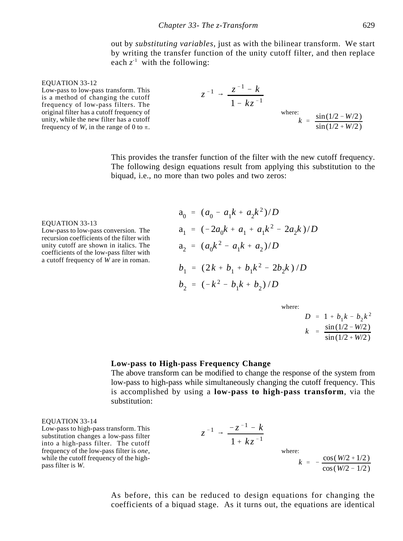out by *substituting variables*, just as with the bilinear transform. We start by writing the transfer function of the unity cutoff filter, and then replace each  $z^{-1}$  with the following:

EQUATION 33-12 Low-pass to low-pass transform. This is a method of changing the cutoff frequency of low-pass filters. The original filter has a cutoff frequency of unity, while the new filter has a cutoff frequency of *W*, in the range of 0 to  $\pi$ .

$$
z^{-1} \rightarrow \frac{z^{-1} - k}{1 - kz^{-1}}
$$
  
where:  

$$
k = \frac{\sin(1/2 - W/2)}{\sin(1/2 + W/2)}
$$

This provides the transfer function of the filter with the new cutoff frequency. The following design equations result from applying this substitution to the biquad, i.e., no more than two poles and two zeros:

EQUATION 33-13

Low-pass to low-pass conversion. The recursion coefficients of the filter with unity cutoff are shown in italics. The coefficients of the low-pass filter with a cutoff frequency of *W* are in roman.

$$
a_0 = (a_0 - a_1k + a_2k^2)/D
$$
  
\n
$$
a_1 = (-2a_0k + a_1 + a_1k^2 - 2a_2k)/D
$$
  
\n
$$
a_2 = (a_0k^2 - a_1k + a_2)/D
$$
  
\n
$$
b_1 = (2k + b_1 + b_1k^2 - 2b_2k)/D
$$
  
\n
$$
b_2 = (-k^2 - b_1k + b_2)/D
$$

 $D = 1 + b_1 k - b_2 k^2$  $k = \frac{\sin (1/2 - W/2)}{\sin (1/2 - W/2)}$  $\sin(1/2 + W/2)$ where:

#### **Low-pass to High-pass Frequency Change**

The above transform can be modified to change the response of the system from low-pass to high-pass while simultaneously changing the cutoff frequency. This is accomplished by using a **low-pass to high-pass transform**, via the substitution:

| EQUALTON 33-14                                                                       |                                                |                                   |
|--------------------------------------------------------------------------------------|------------------------------------------------|-----------------------------------|
| Low-pass to high-pass transform. This                                                | $z^{-1}$                                       | $-\frac{z^{-1} - k}{1 + kz^{-1}}$ |
| into a high-pass filter. The cutoff frequency of the low-pass filter is <i>one</i> , |                                                |                                   |
| while the cutoff frequency of the high-pass filter is <i>W</i> .                     | where:                                         |                                   |
| was filter is <i>W</i> .                                                             | $k = -\frac{\cos(W/2 + 1/2)}{\cos(W/2 - 1/2)}$ |                                   |

As before, this can be reduced to design equations for changing the coefficients of a biquad stage. As it turns out, the equations are identical